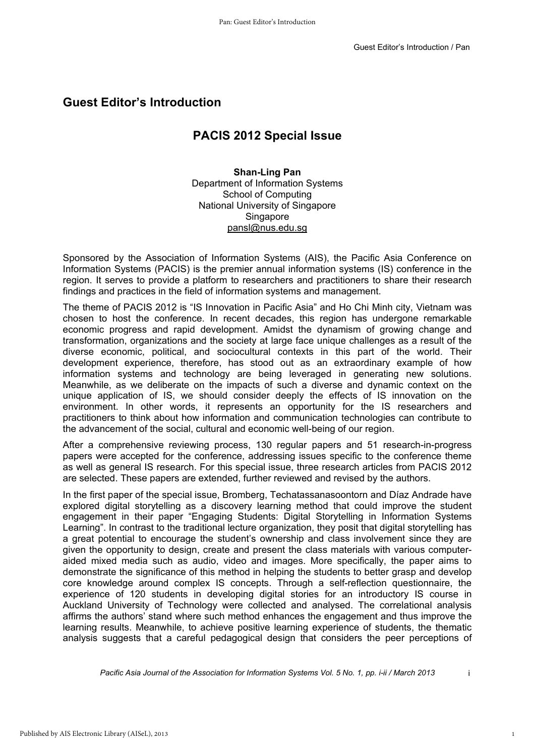## **Guest Editor's Introduction**

## **PACIS 2012 Special Issue**

## **Shan-Ling Pan**  Department of Information Systems School of Computing National University of Singapore **Singapore** pansl@nus.edu.sg

Sponsored by the Association of Information Systems (AIS), the Pacific Asia Conference on Information Systems (PACIS) is the premier annual information systems (IS) conference in the region. It serves to provide a platform to researchers and practitioners to share their research findings and practices in the field of information systems and management.

The theme of PACIS 2012 is "IS Innovation in Pacific Asia" and Ho Chi Minh city, Vietnam was chosen to host the conference. In recent decades, this region has undergone remarkable economic progress and rapid development. Amidst the dynamism of growing change and transformation, organizations and the society at large face unique challenges as a result of the diverse economic, political, and sociocultural contexts in this part of the world. Their development experience, therefore, has stood out as an extraordinary example of how information systems and technology are being leveraged in generating new solutions. Meanwhile, as we deliberate on the impacts of such a diverse and dynamic context on the unique application of IS, we should consider deeply the effects of IS innovation on the environment. In other words, it represents an opportunity for the IS researchers and practitioners to think about how information and communication technologies can contribute to the advancement of the social, cultural and economic well-being of our region.

After a comprehensive reviewing process, 130 regular papers and 51 research-in-progress papers were accepted for the conference, addressing issues specific to the conference theme as well as general IS research. For this special issue, three research articles from PACIS 2012 are selected. These papers are extended, further reviewed and revised by the authors.

In the first paper of the special issue, Bromberg, Techatassanasoontorn and Díaz Andrade have explored digital storytelling as a discovery learning method that could improve the student engagement in their paper "Engaging Students: Digital Storytelling in Information Systems Learning". In contrast to the traditional lecture organization, they posit that digital storytelling has a great potential to encourage the student's ownership and class involvement since they are given the opportunity to design, create and present the class materials with various computeraided mixed media such as audio, video and images. More specifically, the paper aims to demonstrate the significance of this method in helping the students to better grasp and develop core knowledge around complex IS concepts. Through a self-reflection questionnaire, the experience of 120 students in developing digital stories for an introductory IS course in Auckland University of Technology were collected and analysed. The correlational analysis affirms the authors' stand where such method enhances the engagement and thus improve the learning results. Meanwhile, to achieve positive learning experience of students, the thematic analysis suggests that a careful pedagogical design that considers the peer perceptions of Pacific Asia Conference on<br>
ems (IS) conference in the<br>
terms (IS) conference in the<br>
terms to share their research<br>
ement.<br>
Chi Minh city, Vietnam was<br>
mas undergone remarkable<br>
m of growing change and<br>
hallenges as a res

*Pacific Asia Journal of the Association for Information Systems Vol. 5 No. 1, pp. i-ii / March 2013*

 $\mathbf{i}$